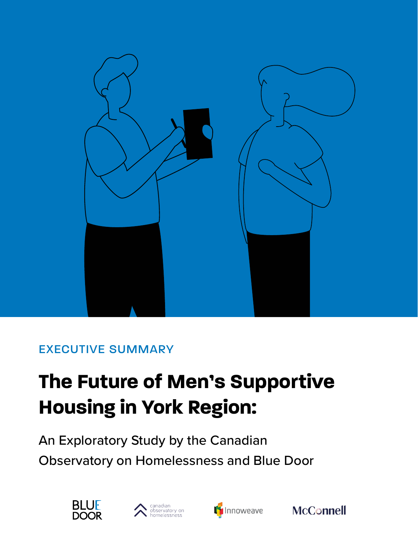

### EXECUTIVE SUMMARY

# **The Future of Men's Supportive Housing in York Region:**

An Exploratory Study by the Canadian Observatory on Homelessness and Blue Door







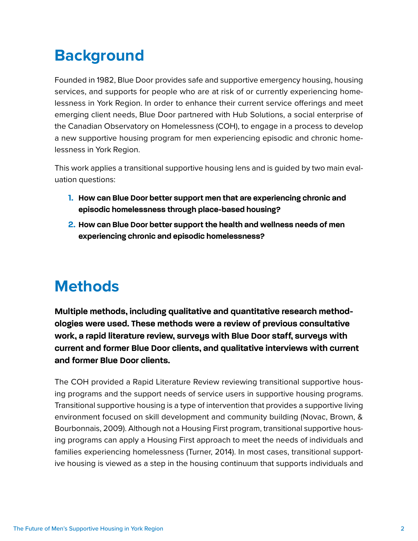# **Background**

Founded in 1982, Blue Door provides safe and supportive emergency housing, housing services, and supports for people who are at risk of or currently experiencing homelessness in York Region. In order to enhance their current service offerings and meet emerging client needs, Blue Door partnered with Hub Solutions, a social enterprise of the Canadian Observatory on Homelessness (COH), to engage in a process to develop a new supportive housing program for men experiencing episodic and chronic homelessness in York Region.

This work applies a transitional supportive housing lens and is guided by two main evaluation questions:

- **1. How can Blue Door better support men that are experiencing chronic and episodic homelessness through place-based housing?**
- **2. How can Blue Door better support the health and wellness needs of men experiencing chronic and episodic homelessness?**

## **Methods**

**Multiple methods, including qualitative and quantitative research methodologies were used. These methods were a review of previous consultative work, a rapid literature review, surveys with Blue Door staff, surveys with current and former Blue Door clients, and qualitative interviews with current and former Blue Door clients.** 

The COH provided a Rapid Literature Review reviewing transitional supportive housing programs and the support needs of service users in supportive housing programs. Transitional supportive housing is a type of intervention that provides a supportive living environment focused on skill development and community building (Novac, Brown, & Bourbonnais, 2009). Although not a Housing First program, transitional supportive housing programs can apply a Housing First approach to meet the needs of individuals and families experiencing homelessness (Turner, 2014). In most cases, transitional supportive housing is viewed as a step in the housing continuum that supports individuals and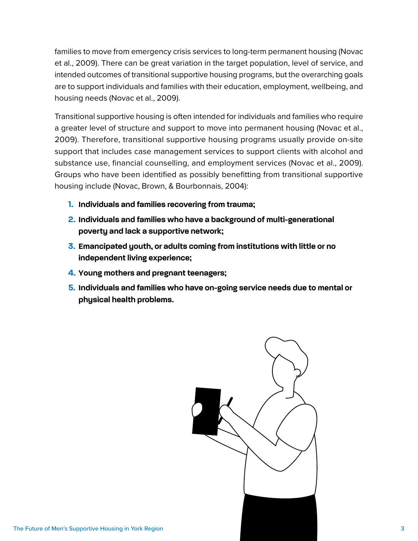families to move from emergency crisis services to long-term permanent housing (Novac et al., 2009). There can be great variation in the target population, level of service, and intended outcomes of transitional supportive housing programs, but the overarching goals are to support individuals and families with their education, employment, wellbeing, and housing needs (Novac et al., 2009).

Transitional supportive housing is often intended for individuals and families who require a greater level of structure and support to move into permanent housing (Novac et al., 2009). Therefore, transitional supportive housing programs usually provide on-site support that includes case management services to support clients with alcohol and substance use, financial counselling, and employment services (Novac et al., 2009). Groups who have been identified as possibly benefitting from transitional supportive housing include (Novac, Brown, & Bourbonnais, 2004):

- **1. Individuals and families recovering from trauma;**
- **2. Individuals and families who have a background of multi-generational poverty and lack a supportive network;**
- **3. Emancipated youth, or adults coming from institutions with little or no independent living experience;**
- **4. Young mothers and pregnant teenagers;**
- **5. Individuals and families who have on-going service needs due to mental or physical health problems.**

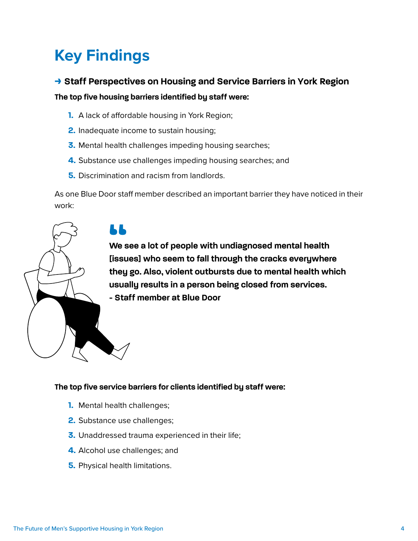# **Key Findings**

### **> Staff Perspectives on Housing and Service Barriers in York Region**

**The top five housing barriers identified by staff were:** 

- **1.** A lack of affordable housing in York Region;
- **2.** Inadequate income to sustain housing;
- **3.** Mental health challenges impeding housing searches;
- **4.** Substance use challenges impeding housing searches; and
- **5.** Discrimination and racism from landlords.

As one Blue Door staff member described an important barrier they have noticed in their work:

LL

**We see a lot of people with undiagnosed mental health [issues] who seem to fall through the cracks everywhere they go. Also, violent outbursts due to mental health which usually results in a person being closed from services.** 

**- Staff member at Blue Door** 

#### **The top five service barriers for clients identified by staff were:**

- **1.** Mental health challenges;
- **2.** Substance use challenges;
- **3.** Unaddressed trauma experienced in their life;
- **4.** Alcohol use challenges; and
- **5.** Physical health limitations.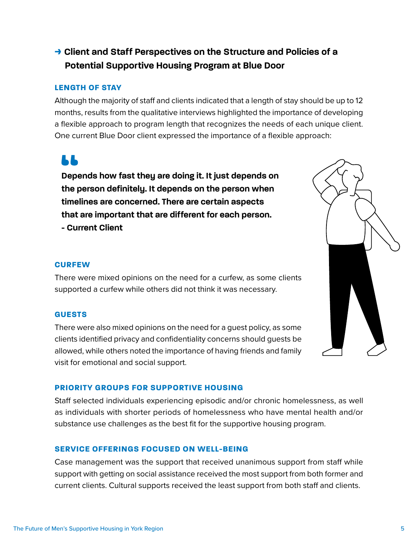### **> Client and Staff Perspectives on the Structure and Policies of a Potential Supportive Housing Program at Blue Door**

#### **LENGTH OF STAY**

Although the majority of staff and clients indicated that a length of stay should be up to 12 months, results from the qualitative interviews highlighted the importance of developing a flexible approach to program length that recognizes the needs of each unique client. One current Blue Door client expressed the importance of a flexible approach:

**Depends how fast they are doing it. It just depends on the person definitely. It depends on the person when timelines are concerned. There are certain aspects that are important that are different for each person. - Current Client** 

#### **CURFEW**

LL

There were mixed opinions on the need for a curfew, as some clients supported a curfew while others did not think it was necessary.

#### **GUESTS**

There were also mixed opinions on the need for a guest policy, as some clients identified privacy and confidentiality concerns should guests be allowed, while others noted the importance of having friends and family visit for emotional and social support.



#### **PRIORITY GROUPS FOR SUPPORTIVE HOUSING**

Staff selected individuals experiencing episodic and/or chronic homelessness, as well as individuals with shorter periods of homelessness who have mental health and/or substance use challenges as the best fit for the supportive housing program.

#### **SERVICE OFFERINGS FOCUSED ON WELL-BEING**

Case management was the support that received unanimous support from staff while support with getting on social assistance received the most support from both former and current clients. Cultural supports received the least support from both staff and clients.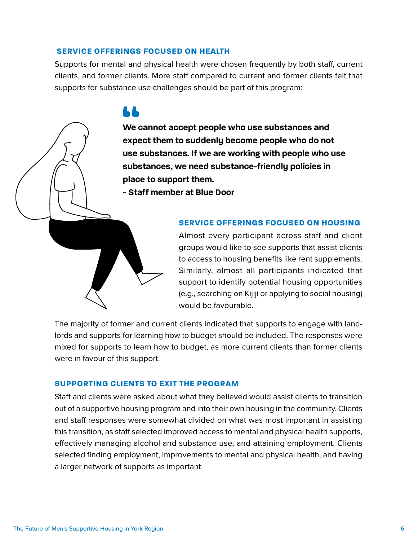#### **SERVICE OFFERINGS FOCUSED ON HEALTH**

Supports for mental and physical health were chosen frequently by both staff, current clients, and former clients. More staff compared to current and former clients felt that supports for substance use challenges should be part of this program:

### LЬ

**We cannot accept people who use substances and expect them to suddenly become people who do not use substances. If we are working with people who use substances, we need substance-friendly policies in place to support them.** 

**- Staff member at Blue Door** 

#### **SERVICE OFFERINGS FOCUSED ON HOUSING**

Almost every participant across staff and client groups would like to see supports that assist clients to access to housing benefits like rent supplements. Similarly, almost all participants indicated that support to identify potential housing opportunities (e.g., searching on Kijiji or applying to social housing) would be favourable.

The majority of former and current clients indicated that supports to engage with landlords and supports for learning how to budget should be included. The responses were mixed for supports to learn how to budget, as more current clients than former clients were in favour of this support.

#### **SUPPORTING CLIENTS TO EXIT THE PROGRAM**

Staff and clients were asked about what they believed would assist clients to transition out of a supportive housing program and into their own housing in the community. Clients and staff responses were somewhat divided on what was most important in assisting this transition, as staff selected improved access to mental and physical health supports, effectively managing alcohol and substance use, and attaining employment. Clients selected finding employment, improvements to mental and physical health, and having a larger network of supports as important.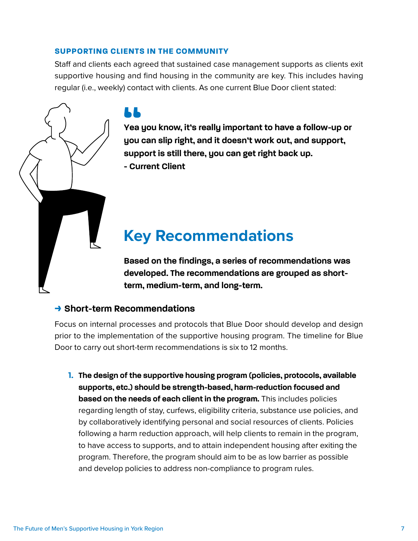#### **SUPPORTING CLIENTS IN THE COMMUNITY**

Staff and clients each agreed that sustained case management supports as clients exit supportive housing and find housing in the community are key. This includes having regular (i.e., weekly) contact with clients. As one current Blue Door client stated:

**Yea you know, it's really important to have a follow-up or you can slip right, and it doesn't work out, and support, support is still there, you can get right back up. - Current Client** 

# **Key Recommendations**

**Based on the findings, a series of recommendations was developed. The recommendations are grouped as shortterm, medium-term, and long-term.** 

### **> Short-term Recommendations**

Focus on internal processes and protocols that Blue Door should develop and design prior to the implementation of the supportive housing program. The timeline for Blue Door to carry out short-term recommendations is six to 12 months.

**1. The design of the supportive housing program (policies, protocols, available supports, etc.) should be strength-based, harm-reduction focused and based on the needs of each client in the program.** This includes policies regarding length of stay, curfews, eligibility criteria, substance use policies, and by collaboratively identifying personal and social resources of clients. Policies following a harm reduction approach, will help clients to remain in the program, to have access to supports, and to attain independent housing after exiting the program. Therefore, the program should aim to be as low barrier as possible and develop policies to address non-compliance to program rules.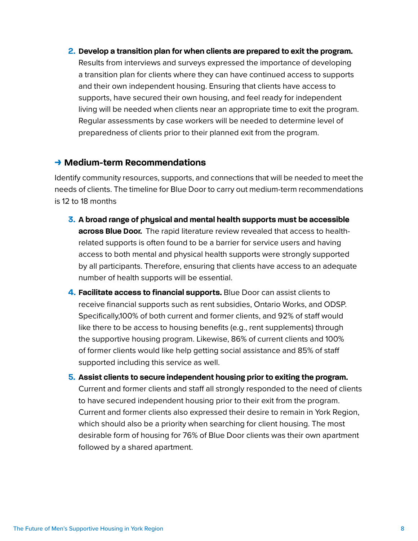**2. Develop a transition plan for when clients are prepared to exit the program.** 

Results from interviews and surveys expressed the importance of developing a transition plan for clients where they can have continued access to supports and their own independent housing. Ensuring that clients have access to supports, have secured their own housing, and feel ready for independent living will be needed when clients near an appropriate time to exit the program. Regular assessments by case workers will be needed to determine level of preparedness of clients prior to their planned exit from the program.

#### **> Medium-term Recommendations**

Identify community resources, supports, and connections that will be needed to meet the needs of clients. The timeline for Blue Door to carry out medium-term recommendations is 12 to 18 months

- **3. A broad range of physical and mental health supports must be accessible across Blue Door.** The rapid literature review revealed that access to healthrelated supports is often found to be a barrier for service users and having access to both mental and physical health supports were strongly supported by all participants. Therefore, ensuring that clients have access to an adequate number of health supports will be essential.
- **4. Facilitate access to financial supports.** Blue Door can assist clients to receive financial supports such as rent subsidies, Ontario Works, and ODSP. Specifically,100% of both current and former clients, and 92% of staff would like there to be access to housing benefits (e.g., rent supplements) through the supportive housing program. Likewise, 86% of current clients and 100% of former clients would like help getting social assistance and 85% of staff supported including this service as well.
- **5. Assist clients to secure independent housing prior to exiting the program.**  Current and former clients and staff all strongly responded to the need of clients to have secured independent housing prior to their exit from the program. Current and former clients also expressed their desire to remain in York Region, which should also be a priority when searching for client housing. The most desirable form of housing for 76% of Blue Door clients was their own apartment followed by a shared apartment.